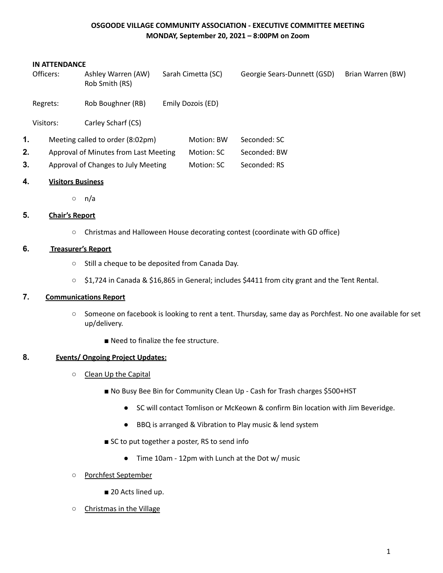### **OSGOODE VILLAGE COMMUNITY ASSOCIATION - EXECUTIVE COMMITTEE MEETING MONDAY, September 20, 2021 – 8:00PM on Zoom**

#### **IN ATTENDANCE**

|    | Officers: | Ashley Warren (AW)<br>Rob Smith (RS)  |  | Sarah Cimetta (SC) | Georgie Sears-Dunnett (GSD) | Brian Warren (BW) |
|----|-----------|---------------------------------------|--|--------------------|-----------------------------|-------------------|
|    | Regrets:  | Rob Boughner (RB)                     |  | Emily Dozois (ED)  |                             |                   |
|    | Visitors: | Carley Scharf (CS)                    |  |                    |                             |                   |
| 1. |           | Meeting called to order (8:02pm)      |  | Motion: BW         | Seconded: SC                |                   |
| 2. |           | Approval of Minutes from Last Meeting |  | Motion: SC         | Seconded: BW                |                   |
| 3. |           | Approval of Changes to July Meeting   |  |                    | Seconded: RS                |                   |
|    |           |                                       |  |                    |                             |                   |

#### **4. Visitors Business**

○ n/a

### **5. Chair's Report**

○ Christmas and Halloween House decorating contest (coordinate with GD office)

### **6. Treasurer's Report**

- Still a cheque to be deposited from Canada Day.
- \$1,724 in Canada & \$16,865 in General; includes \$4411 from city grant and the Tent Rental.

### **7. Communications Report**

- Someone on facebook is looking to rent a tent. Thursday, same day as Porchfest. No one available for set up/delivery.
	- Need to finalize the fee structure.

#### **8. Events/ Ongoing Project Updates:**

- Clean Up the Capital
	- No Busy Bee Bin for Community Clean Up Cash for Trash charges \$500+HST
		- SC will contact Tomlison or McKeown & confirm Bin location with Jim Beveridge.
		- BBQ is arranged & Vibration to Play music & lend system
	- SC to put together a poster, RS to send info
		- Time 10am 12pm with Lunch at the Dot w/ music
- Porchfest September
	- 20 Acts lined up.
- Christmas in the Village